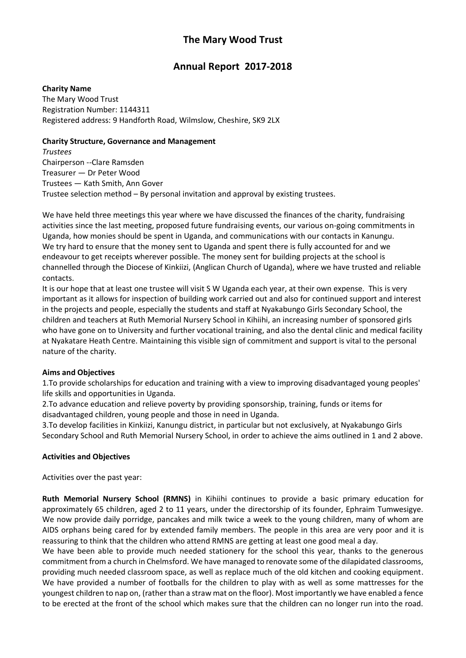# **The Mary Wood Trust**

# **Annual Report 2017-2018**

## **Charity Name**

The Mary Wood Trust Registration Number: 1144311 Registered address: 9 Handforth Road, Wilmslow, Cheshire, SK9 2LX

## **Charity Structure, Governance and Management**

*Trustees* Chairperson --Clare Ramsden Treasurer — Dr Peter Wood Trustees — Kath Smith, Ann Gover Trustee selection method – By personal invitation and approval by existing trustees.

We have held three meetings this year where we have discussed the finances of the charity, fundraising activities since the last meeting, proposed future fundraising events, our various on-going commitments in Uganda, how monies should be spent in Uganda, and communications with our contacts in Kanungu. We try hard to ensure that the money sent to Uganda and spent there is fully accounted for and we endeavour to get receipts wherever possible. The money sent for building projects at the school is channelled through the Diocese of Kinkiizi, (Anglican Church of Uganda), where we have trusted and reliable contacts.

It is our hope that at least one trustee will visit S W Uganda each year, at their own expense. This is very important as it allows for inspection of building work carried out and also for continued support and interest in the projects and people, especially the students and staff at Nyakabungo Girls Secondary School, the children and teachers at Ruth Memorial Nursery School in Kihiihi, an increasing number of sponsored girls who have gone on to University and further vocational training, and also the dental clinic and medical facility at Nyakatare Heath Centre. Maintaining this visible sign of commitment and support is vital to the personal nature of the charity.

## **Aims and Objectives**

1.To provide scholarships for education and training with a view to improving disadvantaged young peoples' life skills and opportunities in Uganda.

2.To advance education and relieve poverty by providing sponsorship, training, funds or items for disadvantaged children, young people and those in need in Uganda.

3.To develop facilities in Kinkiizi, Kanungu district, in particular but not exclusively, at Nyakabungo Girls Secondary School and Ruth Memorial Nursery School, in order to achieve the aims outlined in 1 and 2 above.

## **Activities and Objectives**

Activities over the past year:

**Ruth Memorial Nursery School (RMNS)** in Kihiihi continues to provide a basic primary education for approximately 65 children, aged 2 to 11 years, under the directorship of its founder, Ephraim Tumwesigye. We now provide daily porridge, pancakes and milk twice a week to the young children, many of whom are AIDS orphans being cared for by extended family members. The people in this area are very poor and it is reassuring to think that the children who attend RMNS are getting at least one good meal a day.

We have been able to provide much needed stationery for the school this year, thanks to the generous commitment from a church in Chelmsford. We have managed to renovate some of the dilapidated classrooms, providing much needed classroom space, as well as replace much of the old kitchen and cooking equipment. We have provided a number of footballs for the children to play with as well as some mattresses for the youngest children to nap on, (rather than a straw mat on the floor). Most importantly we have enabled a fence to be erected at the front of the school which makes sure that the children can no longer run into the road.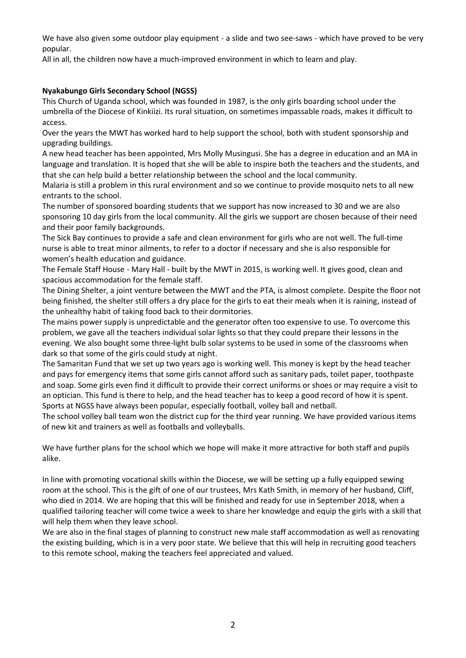We have also given some outdoor play equipment - a slide and two see-saws - which have proved to be very popular.

All in all, the children now have a much-improved environment in which to learn and play.

# **Nyakabungo Girls Secondary School (NGSS)**

This Church of Uganda school, which was founded in 1987, is the only girls boarding school under the umbrella of the Diocese of Kinkiizi. Its rural situation, on sometimes impassable roads, makes it difficult to access.

Over the years the MWT has worked hard to help support the school, both with student sponsorship and upgrading buildings.

A new head teacher has been appointed, Mrs Molly Musingusi. She has a degree in education and an MA in language and translation. It is hoped that she will be able to inspire both the teachers and the students, and that she can help build a better relationship between the school and the local community.

Malaria is still a problem in this rural environment and so we continue to provide mosquito nets to all new entrants to the school.

The number of sponsored boarding students that we support has now increased to 30 and we are also sponsoring 10 day girls from the local community. All the girls we support are chosen because of their need and their poor family backgrounds.

The Sick Bay continues to provide a safe and clean environment for girls who are not well. The full-time nurse is able to treat minor ailments, to refer to a doctor if necessary and she is also responsible for women's health education and guidance.

The Female Staff House - Mary Hall - built by the MWT in 2015, is working well. It gives good, clean and spacious accommodation for the female staff.

The Dining Shelter, a joint venture between the MWT and the PTA, is almost complete. Despite the floor not being finished, the shelter still offers a dry place for the girls to eat their meals when it is raining, instead of the unhealthy habit of taking food back to their dormitories.

The mains power supply is unpredictable and the generator often too expensive to use. To overcome this problem, we gave all the teachers individual solar lights so that they could prepare their lessons in the evening. We also bought some three-light bulb solar systems to be used in some of the classrooms when dark so that some of the girls could study at night.

The Samaritan Fund that we set up two years ago is working well. This money is kept by the head teacher and pays for emergency items that some girls cannot afford such as sanitary pads, toilet paper, toothpaste and soap. Some girls even find it difficult to provide their correct uniforms or shoes or may require a visit to an optician. This fund is there to help, and the head teacher has to keep a good record of how it is spent. Sports at NGSS have always been popular, especially football, volley ball and netball.

The school volley ball team won the district cup for the third year running. We have provided various items of new kit and trainers as well as footballs and volleyballs.

We have further plans for the school which we hope will make it more attractive for both staff and pupils alike.

In line with promoting vocational skills within the Diocese, we will be setting up a fully equipped sewing room at the school. This is the gift of one of our trustees, Mrs Kath Smith, in memory of her husband, Cliff, who died in 2014. We are hoping that this will be finished and ready for use in September 2018, when a qualified tailoring teacher will come twice a week to share her knowledge and equip the girls with a skill that will help them when they leave school.

We are also in the final stages of planning to construct new male staff accommodation as well as renovating the existing building, which is in a very poor state. We believe that this will help in recruiting good teachers to this remote school, making the teachers feel appreciated and valued.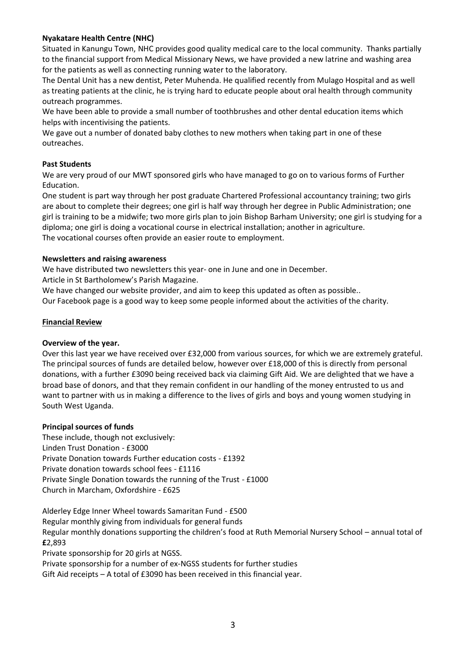## **Nyakatare Health Centre (NHC)**

Situated in Kanungu Town, NHC provides good quality medical care to the local community. Thanks partially to the financial support from Medical Missionary News, we have provided a new latrine and washing area for the patients as well as connecting running water to the laboratory.

The Dental Unit has a new dentist, Peter Muhenda. He qualified recently from Mulago Hospital and as well as treating patients at the clinic, he is trying hard to educate people about oral health through community outreach programmes.

We have been able to provide a small number of toothbrushes and other dental education items which helps with incentivising the patients.

We gave out a number of donated baby clothes to new mothers when taking part in one of these outreaches.

## **Past Students**

We are very proud of our MWT sponsored girls who have managed to go on to various forms of Further Education.

One student is part way through her post graduate Chartered Professional accountancy training; two girls are about to complete their degrees; one girl is half way through her degree in Public Administration; one girl is training to be a midwife; two more girls plan to join Bishop Barham University; one girl is studying for a diploma; one girl is doing a vocational course in electrical installation; another in agriculture. The vocational courses often provide an easier route to employment.

### **Newsletters and raising awareness**

We have distributed two newsletters this year- one in June and one in December.

Article in St Bartholomew's Parish Magazine.

We have changed our website provider, and aim to keep this updated as often as possible..

Our Facebook page is a good way to keep some people informed about the activities of the charity.

### **Financial Review**

#### **Overview of the year.**

Over this last year we have received over £32,000 from various sources, for which we are extremely grateful. The principal sources of funds are detailed below, however over £18,000 of this is directly from personal donations, with a further £3090 being received back via claiming Gift Aid. We are delighted that we have a broad base of donors, and that they remain confident in our handling of the money entrusted to us and want to partner with us in making a difference to the lives of girls and boys and young women studying in South West Uganda.

#### **Principal sources of funds**

These include, though not exclusively: Linden Trust Donation - £3000 Private Donation towards Further education costs - £1392 Private donation towards school fees - £1116 Private Single Donation towards the running of the Trust - £1000 Church in Marcham, Oxfordshire - £625

Alderley Edge Inner Wheel towards Samaritan Fund - £500 Regular monthly giving from individuals for general funds Regular monthly donations supporting the children's food at Ruth Memorial Nursery School – annual total of **£**2,893

Private sponsorship for 20 girls at NGSS.

Private sponsorship for a number of ex-NGSS students for further studies

Gift Aid receipts – A total of £3090 has been received in this financial year.